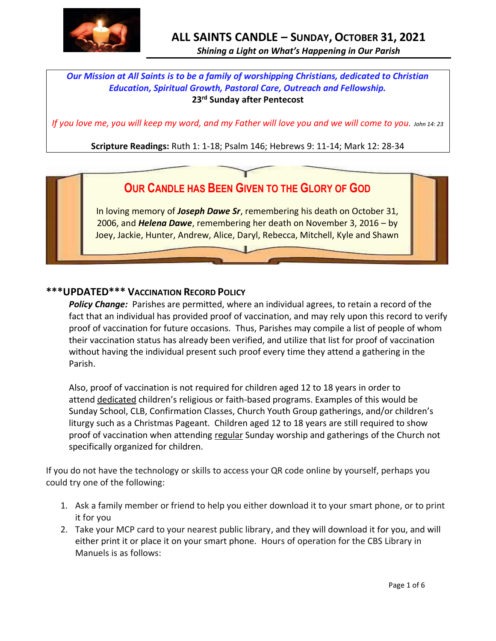

# *Shining a Light on What's Happening in Our Parish*

## *Our Mission at All Saints is to be a family of worshipping Christians, dedicated to Christian Education, Spiritual Growth, Pastoral Care, Outreach and Fellowship.* **23 rd Sunday after Pentecost**

*If you love me, you will keep my word, and my Father will love you and we will come to you. John 14: 23* 

**Scripture Readings:** Ruth 1: 1-18; Psalm 146; Hebrews 9: 11-14; Mark 12: 28-34

# **OUR CANDLE HAS BEEN GIVEN TO THE GLORY OF GOD**

In loving memory of *Joseph Dawe Sr*, remembering his death on October 31, 2006, and *Helena Dawe*, remembering her death on November 3, 2016 – by Joey, Jackie, Hunter, Andrew, Alice, Daryl, Rebecca, Mitchell, Kyle and Shawn

#### **\*\*\*UPDATED\*\*\* VACCINATION RECORD POLICY**

*Policy Change:* Parishes are permitted, where an individual agrees, to retain a record of the fact that an individual has provided proof of vaccination, and may rely upon this record to verify proof of vaccination for future occasions. Thus, Parishes may compile a list of people of whom their vaccination status has already been verified, and utilize that list for proof of vaccination without having the individual present such proof every time they attend a gathering in the Parish.

Also, proof of vaccination is not required for children aged 12 to 18 years in order to attend dedicated children's religious or faith-based programs. Examples of this would be Sunday School, CLB, Confirmation Classes, Church Youth Group gatherings, and/or children's liturgy such as a Christmas Pageant. Children aged 12 to 18 years are still required to show proof of vaccination when attending regular Sunday worship and gatherings of the Church not specifically organized for children.

If you do not have the technology or skills to access your QR code online by yourself, perhaps you could try one of the following:

- 1. Ask a family member or friend to help you either download it to your smart phone, or to print it for you
- 2. Take your MCP card to your nearest public library, and they will download it for you, and will either print it or place it on your smart phone. Hours of operation for the CBS Library in Manuels is as follows: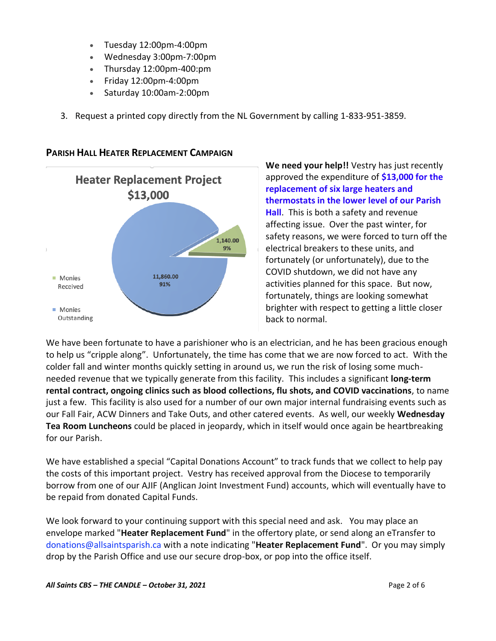- Tuesday 12:00pm-4:00pm
- Wednesday 3:00pm-7:00pm
- Thursday 12:00pm-400:pm
- Friday 12:00pm-4:00pm
- Saturday 10:00am-2:00pm
- 3. Request a printed copy directly from the NL Government by calling 1-833-951-3859.



#### **PARISH HALL HEATER REPLACEMENT CAMPAIGN**

**We need your help!!** Vestry has just recently approved the expenditure of **\$13,000 for the replacement of six large heaters and thermostats in the lower level of our Parish Hall**. This is both a safety and revenue affecting issue. Over the past winter, for safety reasons, we were forced to turn off the electrical breakers to these units, and fortunately (or unfortunately), due to the COVID shutdown, we did not have any activities planned for this space. But now, fortunately, things are looking somewhat brighter with respect to getting a little closer back to normal.

We have been fortunate to have a parishioner who is an electrician, and he has been gracious enough to help us "cripple along". Unfortunately, the time has come that we are now forced to act. With the colder fall and winter months quickly setting in around us, we run the risk of losing some muchneeded revenue that we typically generate from this facility. This includes a significant **long-term rental contract, ongoing clinics such as blood collections, flu shots, and COVID vaccinations**, to name just a few. This facility is also used for a number of our own major internal fundraising events such as our Fall Fair, ACW Dinners and Take Outs, and other catered events. As well, our weekly **Wednesday Tea Room Luncheons** could be placed in jeopardy, which in itself would once again be heartbreaking for our Parish.

We have established a special "Capital Donations Account" to track funds that we collect to help pay the costs of this important project. Vestry has received approval from the Diocese to temporarily borrow from one of our AJIF (Anglican Joint Investment Fund) accounts, which will eventually have to be repaid from donated Capital Funds.

We look forward to your continuing support with this special need and ask. You may place an envelope marked "**Heater Replacement Fund**" in the offertory plate, or send along an eTransfer to donations@allsaintsparish.ca with a note indicating "**Heater Replacement Fund**". Or you may simply drop by the Parish Office and use our secure drop-box, or pop into the office itself.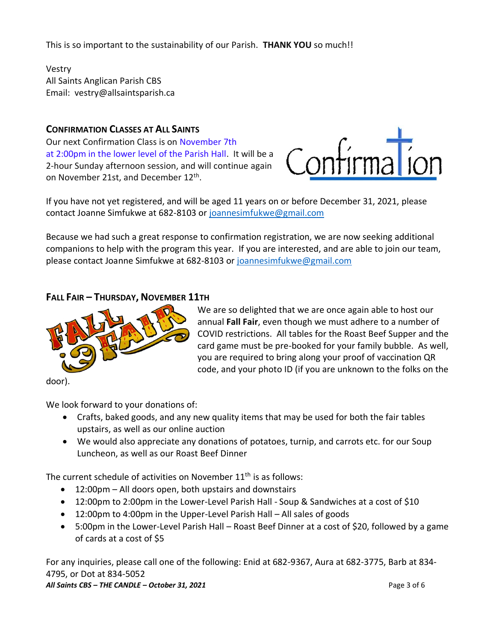This is so important to the sustainability of our Parish. **THANK YOU** so much!!

Vestry All Saints Anglican Parish CBS Email: vestry@allsaintsparish.ca

#### **CONFIRMATION CLASSES AT ALL SAINTS**

Our next Confirmation Class is on November 7th at 2:00pm in the lower level of the Parish Hall. It will be a 2-hour Sunday afternoon session, and will continue again on November 21st, and December 12<sup>th</sup>.



If you have not yet registered, and will be aged 11 years on or before December 31, 2021, please contact Joanne Simfukwe at 682-8103 or [joannesimfukwe@gmail.com](mailto:joannesimfukwe@gmail.com)

Because we had such a great response to confirmation registration, we are now seeking additional companions to help with the program this year. If you are interested, and are able to join our team, please contact Joanne Simfukwe at 682-8103 or [joannesimfukwe@gmail.com](mailto:joannesimfukwe@gmail.com)

#### **FALL FAIR – THURSDAY, NOVEMBER 11TH**



We are so delighted that we are once again able to host our annual **Fall Fair**, even though we must adhere to a number of COVID restrictions. All tables for the Roast Beef Supper and the card game must be pre-booked for your family bubble. As well, you are required to bring along your proof of vaccination QR code, and your photo ID (if you are unknown to the folks on the

door).

We look forward to your donations of:

- Crafts, baked goods, and any new quality items that may be used for both the fair tables upstairs, as well as our online auction
- We would also appreciate any donations of potatoes, turnip, and carrots etc. for our Soup Luncheon, as well as our Roast Beef Dinner

The current schedule of activities on November  $11<sup>th</sup>$  is as follows:

- 12:00pm All doors open, both upstairs and downstairs
- 12:00pm to 2:00pm in the Lower-Level Parish Hall Soup & Sandwiches at a cost of \$10
- 12:00pm to 4:00pm in the Upper-Level Parish Hall All sales of goods
- 5:00pm in the Lower-Level Parish Hall Roast Beef Dinner at a cost of \$20, followed by a game of cards at a cost of \$5

*All Saints CBS – THE CANDLE – October 31, 2021* Page 3 of 6 For any inquiries, please call one of the following: Enid at 682-9367, Aura at 682-3775, Barb at 834- 4795, or Dot at 834-5052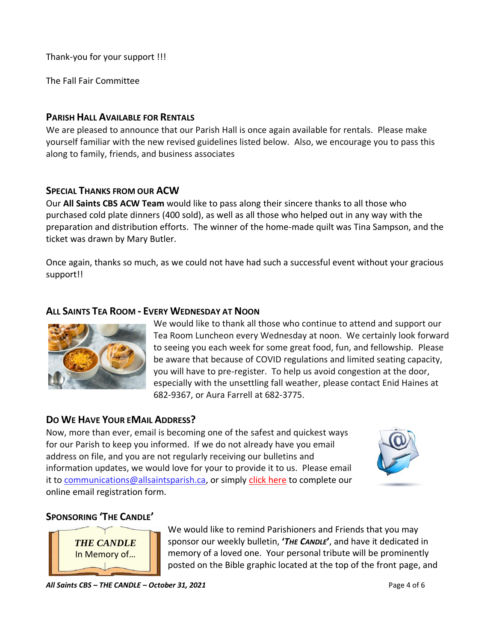Thank-you for your support !!!

The Fall Fair Committee

#### **PARISH HALL AVAILABLE FOR RENTALS**

We are pleased to announce that our Parish Hall is once again available for rentals. Please make yourself familiar with the new revised guidelines listed below. Also, we encourage you to pass this along to family, friends, and business associates

#### **SPECIAL THANKS FROM OUR ACW**

Our **All Saints CBS ACW Team** would like to pass along their sincere thanks to all those who purchased cold plate dinners (400 sold), as well as all those who helped out in any way with the preparation and distribution efforts. The winner of the home-made quilt was Tina Sampson, and the ticket was drawn by Mary Butler.

Once again, thanks so much, as we could not have had such a successful event without your gracious support!!

### **ALL SAINTS TEA ROOM - EVERY WEDNESDAY AT NOON**



We would like to thank all those who continue to attend and support our Tea Room Luncheon every Wednesday at noon. We certainly look forward to seeing you each week for some great food, fun, and fellowship. Please be aware that because of COVID regulations and limited seating capacity, you will have to pre-register. To help us avoid congestion at the door, especially with the unsettling fall weather, please contact Enid Haines at 682-9367, or Aura Farrell at 682-3775.

# **DO WE HAVE YOUR EMAIL ADDRESS?**

Now, more than ever, email is becoming one of the safest and quickest ways for our Parish to keep you informed. If we do not already have you email address on file, and you are not regularly receiving our bulletins and information updates, we would love for your to provide it to us. Please email it to [communications@allsaintsparish.ca,](mailto:communications@allsaintsparish.ca?subject=eMail%20Address%20Update) or simply [click here](http://allsaintsparish.ca/email_updates) to complete our online email registration form.



# **SPONSORING 'THE CANDLE'**



We would like to remind Parishioners and Friends that you may sponsor our weekly bulletin, **'***THE CANDLE***'**, and have it dedicated in memory of a loved one. Your personal tribute will be prominently posted on the Bible graphic located at the top of the front page, and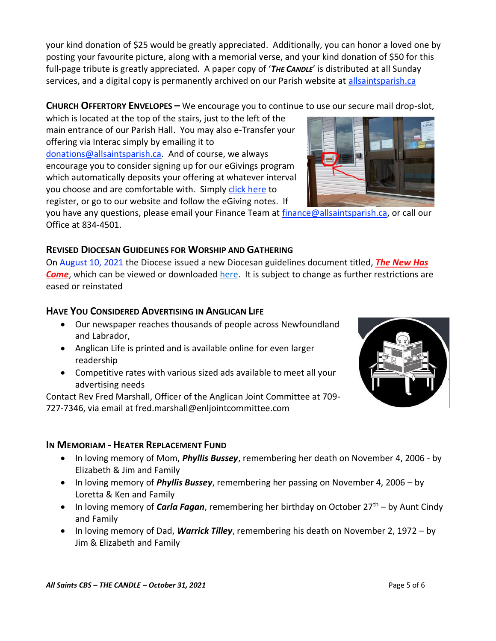your kind donation of \$25 would be greatly appreciated. Additionally, you can honor a loved one by posting your favourite picture, along with a memorial verse, and your kind donation of \$50 for this full-page tribute is greatly appreciated. A paper copy of '*THE CANDLE*' is distributed at all Sunday services, and a digital copy is permanently archived on our Parish website at [allsaintsparish.ca](http://allsaintsparish.ca/thecandle.html)

#### **CHURCH OFFERTORY ENVELOPES –** We encourage you to continue to use our secure mail drop-slot,

which is located at the top of the stairs, just to the left of the main entrance of our Parish Hall. You may also e-Transfer your offering via Interac simply by emailing it to [donations@allsaintsparish.ca.](mailto:donations@allsaintsparish.ca) And of course, we always encourage you to consider signing up for our eGivings program which automatically deposits your offering at whatever interval you choose and are comfortable with. Simply [click here](http://allsaintsparish.ca/egiving-online-information-form) to

you have [any](https://wfsites-to.websitecreatorprotool.com/870a5dd5.com/Admin/%7BSK_NODEID__22939341__SK%7D) questions, please email your Finance Team at [finance@allsaintsparish.ca,](mailto:finance@allsaintsparish.ca) or call our Office at 834-4501.

#### **REVISED DIOCESAN GUIDELINES FOR WORSHIP AND GATHERING**

register, or go to our website and follow the eGiving notes. If

On August 10, 2021 the Diocese issued a new Diocesan guidelines document titled, *[The New Has](https://anglicanenl.net/home/wp-content/uploads/2021/08/The-New-Has-Come-August-10-2021.pdf?fbclid=IwAR2_9nhbxB2LEc3XOqAP_nvoRu4G5Mt6NWIYwOEYNI0OtUl0atv2QwCfCY0)  [Come](https://anglicanenl.net/home/wp-content/uploads/2021/08/The-New-Has-Come-August-10-2021.pdf?fbclid=IwAR2_9nhbxB2LEc3XOqAP_nvoRu4G5Mt6NWIYwOEYNI0OtUl0atv2QwCfCY0)*, which can be viewed or downloaded [here.](https://anglicanenl.net/home/wp-content/uploads/2021/08/The-New-Has-Come-August-10-2021.pdf?fbclid=IwAR2_9nhbxB2LEc3XOqAP_nvoRu4G5Mt6NWIYwOEYNI0OtUl0atv2QwCfCY0) It is subject to change as further restrictions are eased or reinstated

#### **HAVE YOU CONSIDERED ADVERTISING IN ANGLICAN LIFE**

- Our newspaper reaches thousands of people across Newfoundland and Labrador,
- Anglican Life is printed and is available online for even larger readership
- Competitive rates with various sized ads available to meet all your advertising needs

Contact Rev Fred Marshall, Officer of the Anglican Joint Committee at 709- 727-7346, via email at fred.marshall@enljointcommittee.com

#### **IN MEMORIAM - HEATER REPLACEMENT FUND**

- In loving memory of Mom, *Phyllis Bussey*, remembering her death on November 4, 2006 by Elizabeth & Jim and Family
- In loving memory of *Phyllis Bussey*, remembering her passing on November 4, 2006 by Loretta & Ken and Family
- In loving memory of *Carla Fagan*, remembering her birthday on October 27<sup>th</sup> by Aunt Cindy and Family
- In loving memory of Dad, *Warrick Tilley*, remembering his death on November 2, 1972 by Jim & Elizabeth and Family